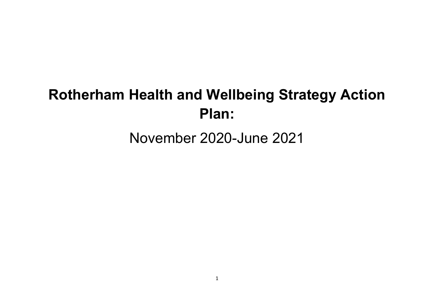# **Rotherham Health and Wellbeing Strategy Action Plan:**

# November 2020-June 2021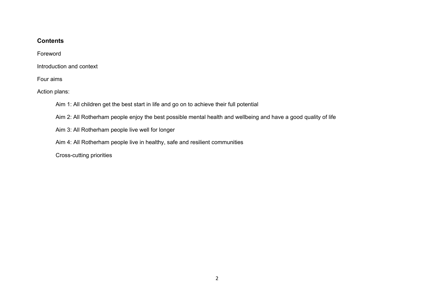#### **Contents**

Foreword

Introduction and context

Four aims

Action plans:

Aim 1: All children get the best start in life and go on to achieve their full potential

Aim 2: All Rotherham people enjoy the best possible mental health and wellbeing and have a good quality of life

Aim 3: All Rotherham people live well for longer

Aim 4: All Rotherham people live in healthy, safe and resilient communities

Cross-cutting priorities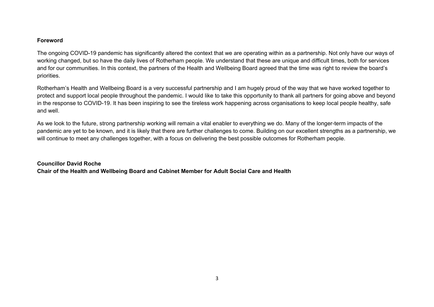#### **Foreword**

The ongoing COVID-19 pandemic has significantly altered the context that we are operating within as a partnership. Not only have our ways of working changed, but so have the daily lives of Rotherham people. We understand that these are unique and difficult times, both for services and for our communities. In this context, the partners of the Health and Wellbeing Board agreed that the time was right to review the board's priorities.

Rotherham's Health and Wellbeing Board is a very successful partnership and I am hugely proud of the way that we have worked together to protect and support local people throughout the pandemic. I would like to take this opportunity to thank all partners for going above and beyond in the response to COVID-19. It has been inspiring to see the tireless work happening across organisations to keep local people healthy, safe and well.

As we look to the future, strong partnership working will remain a vital enabler to everything we do. Many of the longer-term impacts of the pandemic are yet to be known, and it is likely that there are further challenges to come. Building on our excellent strengths as a partnership, we will continue to meet any challenges together, with a focus on delivering the best possible outcomes for Rotherham people.

**Councillor David Roche Chair of the Health and Wellbeing Board and Cabinet Member for Adult Social Care and Health**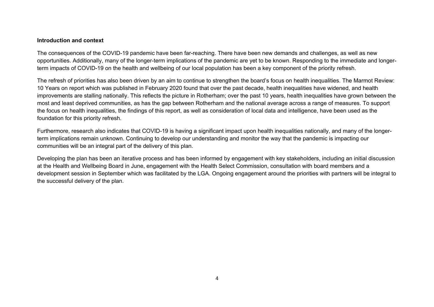#### **Introduction and context**

The consequences of the COVID-19 pandemic have been far-reaching. There have been new demands and challenges, as well as new opportunities. Additionally, many of the longer-term implications of the pandemic are yet to be known. Responding to the immediate and longerterm impacts of COVID-19 on the health and wellbeing of our local population has been a key component of the priority refresh.

The refresh of priorities has also been driven by an aim to continue to strengthen the board's focus on health inequalities. The Marmot Review: 10 Years on report which was published in February 2020 found that over the past decade, health inequalities have widened, and health improvements are stalling nationally. This reflects the picture in Rotherham; over the past 10 years, health inequalities have grown between the most and least deprived communities, as has the gap between Rotherham and the national average across a range of measures. To support the focus on health inequalities, the findings of this report, as well as consideration of local data and intelligence, have been used as the foundation for this priority refresh.

Furthermore, research also indicates that COVID-19 is having a significant impact upon health inequalities nationally, and many of the longerterm implications remain unknown. Continuing to develop our understanding and monitor the way that the pandemic is impacting our communities will be an integral part of the delivery of this plan.

Developing the plan has been an iterative process and has been informed by engagement with key stakeholders, including an initial discussion at the Health and Wellbeing Board in June, engagement with the Health Select Commission, consultation with board members and a development session in September which was facilitated by the LGA. Ongoing engagement around the priorities with partners will be integral to the successful delivery of the plan.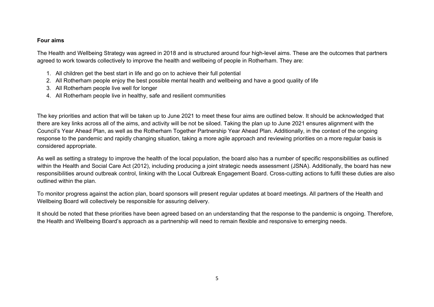#### **Four aims**

The Health and Wellbeing Strategy was agreed in 2018 and is structured around four high-level aims. These are the outcomes that partners agreed to work towards collectively to improve the health and wellbeing of people in Rotherham. They are:

- 1. All children get the best start in life and go on to achieve their full potential
- 2. All Rotherham people enjoy the best possible mental health and wellbeing and have a good quality of life
- 3. All Rotherham people live well for longer
- 4. All Rotherham people live in healthy, safe and resilient communities

The key priorities and action that will be taken up to June 2021 to meet these four aims are outlined below. It should be acknowledged that there are key links across all of the aims, and activity will be not be siloed. Taking the plan up to June 2021 ensures alignment with the Council's Year Ahead Plan, as well as the Rotherham Together Partnership Year Ahead Plan. Additionally, in the context of the ongoing response to the pandemic and rapidly changing situation, taking a more agile approach and reviewing priorities on a more regular basis is considered appropriate.

As well as setting a strategy to improve the health of the local population, the board also has a number of specific responsibilities as outlined within the Health and Social Care Act (2012), including producing a joint strategic needs assessment (JSNA). Additionally, the board has new responsibilities around outbreak control, linking with the Local Outbreak Engagement Board. Cross-cutting actions to fulfil these duties are also outlined within the plan.

To monitor progress against the action plan, board sponsors will present regular updates at board meetings. All partners of the Health and Wellbeing Board will collectively be responsible for assuring delivery.

It should be noted that these priorities have been agreed based on an understanding that the response to the pandemic is ongoing. Therefore, the Health and Wellbeing Board's approach as a partnership will need to remain flexible and responsive to emerging needs.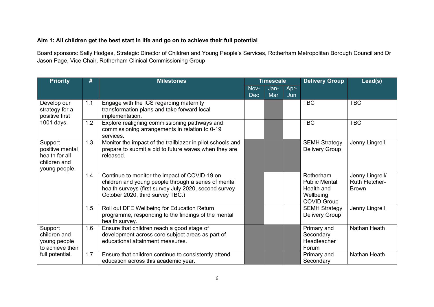#### **Aim 1: All children get the best start in life and go on to achieve their full potential**

Board sponsors: Sally Hodges, Strategic Director of Children and Young People's Services, Rotherham Metropolitan Borough Council and Dr Jason Page, Vice Chair, Rotherham Clinical Commissioning Group

| <b>Priority</b>                                                               | #   | <b>Milestones</b>                                                                                                                                                                                  |                    | <b>Timescale</b> |             | <b>Delivery Group</b>                                                              | Lead(s)                                           |
|-------------------------------------------------------------------------------|-----|----------------------------------------------------------------------------------------------------------------------------------------------------------------------------------------------------|--------------------|------------------|-------------|------------------------------------------------------------------------------------|---------------------------------------------------|
|                                                                               |     |                                                                                                                                                                                                    | Nov-<br><b>Dec</b> | Jan-<br>Mar      | Apr-<br>Jun |                                                                                    |                                                   |
| Develop our<br>strategy for a<br>positive first                               | 1.1 | Engage with the ICS regarding maternity<br>transformation plans and take forward local<br>implementation.                                                                                          |                    |                  |             | <b>TBC</b>                                                                         | <b>TBC</b>                                        |
| 1001 days.                                                                    | 1.2 | Explore realigning commissioning pathways and<br>commissioning arrangements in relation to 0-19<br>services.                                                                                       |                    |                  |             | <b>TBC</b>                                                                         | <b>TBC</b>                                        |
| Support<br>positive mental<br>health for all<br>children and<br>young people. | 1.3 | Monitor the impact of the trailblazer in pilot schools and<br>prepare to submit a bid to future waves when they are<br>released.                                                                   |                    |                  |             | <b>SEMH Strategy</b><br>Delivery Group                                             | Jenny Lingrell                                    |
|                                                                               | 1.4 | Continue to monitor the impact of COVID-19 on<br>children and young people through a series of mental<br>health surveys (first survey July 2020, second survey<br>October 2020, third survey TBC.) |                    |                  |             | Rotherham<br><b>Public Mental</b><br>Health and<br>Wellbeing<br><b>COVID Group</b> | Jenny Lingrell/<br>Ruth Fletcher-<br><b>Brown</b> |
|                                                                               | 1.5 | Roll out DFE Wellbeing for Education Return<br>programme, responding to the findings of the mental<br>health survey.                                                                               |                    |                  |             | <b>SEMH Strategy</b><br>Delivery Group                                             | Jenny Lingrell                                    |
| Support<br>children and<br>young people<br>to achieve their                   | 1.6 | Ensure that children reach a good stage of<br>development across core subject areas as part of<br>educational attainment measures.                                                                 |                    |                  |             | Primary and<br>Secondary<br>Headteacher<br>Forum                                   | Nathan Heath                                      |
| full potential.                                                               | 1.7 | Ensure that children continue to consistently attend<br>education across this academic year.                                                                                                       |                    |                  |             | Primary and<br>Secondary                                                           | Nathan Heath                                      |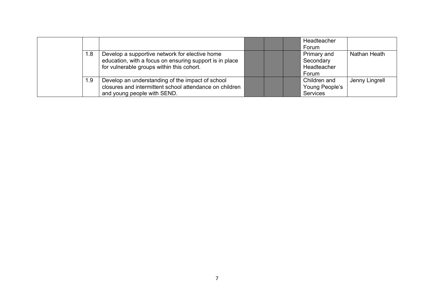|     |                                                                                                                                                        |  | Headteacher<br>Forum                             |                |
|-----|--------------------------------------------------------------------------------------------------------------------------------------------------------|--|--------------------------------------------------|----------------|
| 1.8 | Develop a supportive network for elective home<br>education, with a focus on ensuring support is in place<br>for vulnerable groups within this cohort. |  | Primary and<br>Secondary<br>Headteacher<br>Forum | Nathan Heath   |
| 1.9 | Develop an understanding of the impact of school<br>closures and intermittent school attendance on children<br>and young people with SEND.             |  | Children and<br>Young People's<br>Services       | Jenny Lingrell |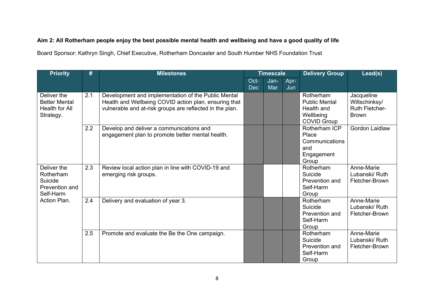#### Aim 2: All Rotherham people enjoy the best possible mental health and wellbeing and have a good quality of life

Board Sponsor: Kathryn Singh, Chief Executive, Rotherham Doncaster and South Humber NHS Foundation Trust

| <b>Priority</b>                                                    | #   | <b>Milestones</b>                                                                                                                                                        |                    | <b>Timescale</b> |             | <b>Delivery Group</b>                                                              | Lead(s)                                                              |
|--------------------------------------------------------------------|-----|--------------------------------------------------------------------------------------------------------------------------------------------------------------------------|--------------------|------------------|-------------|------------------------------------------------------------------------------------|----------------------------------------------------------------------|
|                                                                    |     |                                                                                                                                                                          | Oct-<br><b>Dec</b> | Jan-<br>Mar      | Apr-<br>Jun |                                                                                    |                                                                      |
| Deliver the<br><b>Better Mental</b><br>Health for All<br>Strategy. | 2.1 | Development and implementation of the Public Mental<br>Health and Wellbeing COVID action plan, ensuring that<br>vulnerable and at-risk groups are reflected in the plan. |                    |                  |             | Rotherham<br><b>Public Mental</b><br>Health and<br>Wellbeing<br><b>COVID Group</b> | Jacqueline<br>Wiltschinksy/<br><b>Ruth Fletcher-</b><br><b>Brown</b> |
|                                                                    | 2.2 | Develop and deliver a communications and<br>engagement plan to promote better mental health.                                                                             |                    |                  |             | Rotherham ICP<br>Place<br>Communications<br>and<br>Engagement<br>Group             | Gordon Laidlaw                                                       |
| Deliver the<br>Rotherham<br>Suicide<br>Prevention and<br>Self-Harm | 2.3 | Review local action plan in line with COVID-19 and<br>emerging risk groups.                                                                                              |                    |                  |             | Rotherham<br>Suicide<br>Prevention and<br>Self-Harm<br>Group                       | Anne-Marie<br>Lubanski/ Ruth<br>Fletcher-Brown                       |
| Action Plan.                                                       | 2.4 | Delivery and evaluation of year 3.                                                                                                                                       |                    |                  |             | Rotherham<br>Suicide<br>Prevention and<br>Self-Harm<br>Group                       | Anne-Marie<br>Lubanski/ Ruth<br>Fletcher-Brown                       |
|                                                                    | 2.5 | Promote and evaluate the Be the One campaign.                                                                                                                            |                    |                  |             | Rotherham<br>Suicide<br>Prevention and<br>Self-Harm<br>Group                       | Anne-Marie<br>Lubanski/ Ruth<br>Fletcher-Brown                       |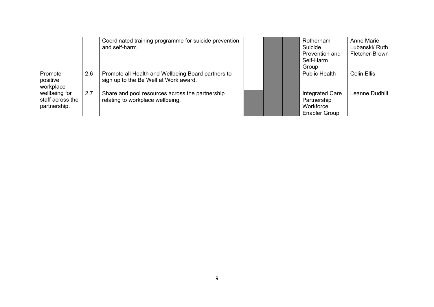|                                                   |     | Coordinated training programme for suicide prevention<br>and self-harm                      |  | Rotherham<br>Suicide<br>Prevention and<br>Self-Harm<br>Group               | Anne Marie<br>Lubanski/ Ruth<br>Fletcher-Brown |
|---------------------------------------------------|-----|---------------------------------------------------------------------------------------------|--|----------------------------------------------------------------------------|------------------------------------------------|
| Promote<br>positive<br>workplace                  | 2.6 | Promote all Health and Wellbeing Board partners to<br>sign up to the Be Well at Work award. |  | <b>Public Health</b>                                                       | <b>Colin Ellis</b>                             |
| wellbeing for<br>staff across the<br>partnership. | 2.7 | Share and pool resources across the partnership<br>relating to workplace wellbeing.         |  | <b>Integrated Care</b><br>Partnership<br>Workforce<br><b>Enabler Group</b> | Leanne Dudhill                                 |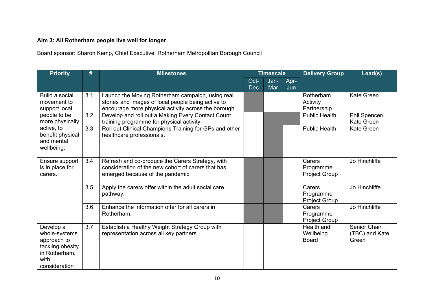## **Aim 3: All Rotherham people live well for longer**

Board sponsor: Sharon Kemp, Chief Executive, Rotherham Metropolitan Borough Council

| <b>Priority</b>                                                                                         | #   | <b>Milestones</b>                                                                                                                                              |                    | <b>Timescale</b> |             | <b>Delivery Group</b>                       | Lead(s)                                 |
|---------------------------------------------------------------------------------------------------------|-----|----------------------------------------------------------------------------------------------------------------------------------------------------------------|--------------------|------------------|-------------|---------------------------------------------|-----------------------------------------|
|                                                                                                         |     |                                                                                                                                                                | Oct-<br><b>Dec</b> | Jan-<br>Mar      | Apr-<br>Jun |                                             |                                         |
| Build a social<br>movement to<br>support local                                                          | 3.1 | Launch the Moving Rotherham campaign, using real<br>stories and images of local people being active to<br>encourage more physical activity across the borough. |                    |                  |             | Rotherham<br>Activity<br>Partnership        | Kate Green                              |
| people to be<br>more physically                                                                         | 3.2 | Develop and roll out a Making Every Contact Count<br>training programme for physical activity.                                                                 |                    |                  |             | <b>Public Health</b>                        | Phil Spencer/<br><b>Kate Green</b>      |
| active, to<br>benefit physical<br>and mental<br>wellbeing.                                              | 3.3 | Roll out Clinical Champions Training for GPs and other<br>healthcare professionals.                                                                            |                    |                  |             | <b>Public Health</b>                        | Kate Green                              |
| Ensure support<br>is in place for<br>carers.                                                            | 3.4 | Refresh and co-produce the Carers Strategy, with<br>consideration of the new cohort of carers that has<br>emerged because of the pandemic.                     |                    |                  |             | Carers<br>Programme<br><b>Project Group</b> | Jo Hinchliffe                           |
|                                                                                                         | 3.5 | Apply the carers offer within the adult social care<br>pathway.                                                                                                |                    |                  |             | Carers<br>Programme<br><b>Project Group</b> | Jo Hinchliffe                           |
|                                                                                                         | 3.6 | Enhance the information offer for all carers in<br>Rotherham.                                                                                                  |                    |                  |             | Carers<br>Programme<br><b>Project Group</b> | Jo Hinchliffe                           |
| Develop a<br>whole-systems<br>approach to<br>tackling obesity<br>in Rotherham,<br>with<br>consideration | 3.7 | Establish a Healthy Weight Strategy Group with<br>representation across all key partners.                                                                      |                    |                  |             | Health and<br>Wellbeing<br><b>Board</b>     | Senior Chair<br>(TBC) and Kate<br>Green |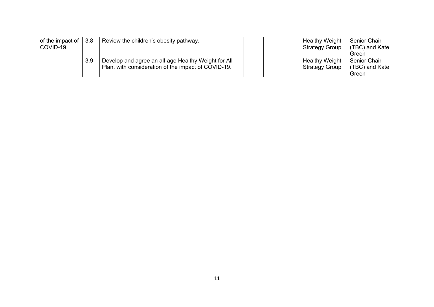| of the impact of $\vert 3.8 \vert$<br>COVID-19. |     | Review the children's obesity pathway.                                                                     |  | <b>Healthy Weight</b><br><b>Strategy Group</b> | <b>Senior Chair</b><br>(TBC) and Kate<br>Green |
|-------------------------------------------------|-----|------------------------------------------------------------------------------------------------------------|--|------------------------------------------------|------------------------------------------------|
|                                                 | 3.9 | Develop and agree an all-age Healthy Weight for All<br>Plan, with consideration of the impact of COVID-19. |  | <b>Healthy Weight</b><br><b>Strategy Group</b> | <b>Senior Chair</b><br>(TBC) and Kate<br>Green |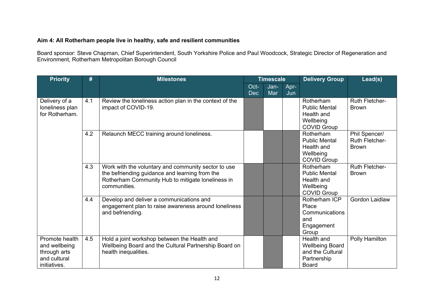#### **Aim 4: All Rotherham people live in healthy, safe and resilient communities**

Board sponsor: Steve Chapman, Chief Superintendent, South Yorkshire Police and Paul Woodcock, Strategic Director of Regeneration and Environment, Rotherham Metropolitan Borough Council

| <b>Priority</b>                                                                 | #   | <b>Milestones</b>                                                                                                                                                          |                    | <b>Timescale</b> |             | <b>Delivery Group</b>                                                                   | Lead(s)                                         |
|---------------------------------------------------------------------------------|-----|----------------------------------------------------------------------------------------------------------------------------------------------------------------------------|--------------------|------------------|-------------|-----------------------------------------------------------------------------------------|-------------------------------------------------|
|                                                                                 |     |                                                                                                                                                                            | Oct-<br><b>Dec</b> | Jan-<br>Mar      | Apr-<br>Jun |                                                                                         |                                                 |
| Delivery of a<br>loneliness plan<br>for Rotherham.                              | 4.1 | Review the loneliness action plan in the context of the<br>impact of COVID-19.                                                                                             |                    |                  |             | Rotherham<br><b>Public Mental</b><br>Health and<br>Wellbeing<br><b>COVID Group</b>      | <b>Ruth Fletcher-</b><br><b>Brown</b>           |
|                                                                                 | 4.2 | Relaunch MECC training around loneliness.                                                                                                                                  |                    |                  |             | Rotherham<br><b>Public Mental</b><br>Health and<br>Wellbeing<br><b>COVID Group</b>      | Phil Spencer/<br>Ruth Fletcher-<br><b>Brown</b> |
|                                                                                 | 4.3 | Work with the voluntary and community sector to use<br>the befriending guidance and learning from the<br>Rotherham Community Hub to mitigate loneliness in<br>communities. |                    |                  |             | Rotherham<br><b>Public Mental</b><br>Health and<br>Wellbeing<br><b>COVID Group</b>      | <b>Ruth Fletcher-</b><br><b>Brown</b>           |
|                                                                                 | 4.4 | Develop and deliver a communications and<br>engagement plan to raise awareness around loneliness<br>and befriending.                                                       |                    |                  |             | Rotherham ICP<br>Place<br>Communications<br>and<br>Engagement<br>Group                  | <b>Gordon Laidlaw</b>                           |
| Promote health<br>and wellbeing<br>through arts<br>and cultural<br>initiatives. | 4.5 | Hold a joint workshop between the Health and<br>Wellbeing Board and the Cultural Partnership Board on<br>health inequalities.                                              |                    |                  |             | Health and<br><b>Wellbeing Board</b><br>and the Cultural<br>Partnership<br><b>Board</b> | Polly Hamilton                                  |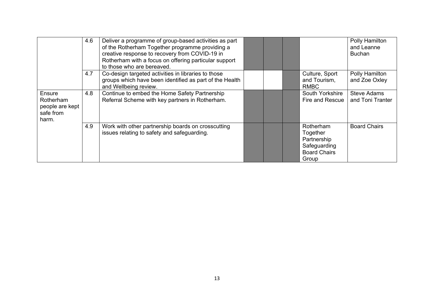|                                                              | 4.6 | Deliver a programme of group-based activities as part<br>of the Rotherham Together programme providing a<br>creative response to recovery from COVID-19 in<br>Rotherham with a focus on offering particular support<br>to those who are bereaved. |  |                                                                                      | Polly Hamilton<br>and Leanne<br><b>Buchan</b> |
|--------------------------------------------------------------|-----|---------------------------------------------------------------------------------------------------------------------------------------------------------------------------------------------------------------------------------------------------|--|--------------------------------------------------------------------------------------|-----------------------------------------------|
|                                                              | 4.7 | Co-design targeted activities in libraries to those<br>groups which have been identified as part of the Health<br>and Wellbeing review.                                                                                                           |  | Culture, Sport<br>and Tourism,<br><b>RMBC</b>                                        | Polly Hamilton<br>and Zoe Oxley               |
| Ensure<br>Rotherham<br>people are kept<br>safe from<br>harm. | 4.8 | Continue to embed the Home Safety Partnership<br>Referral Scheme with key partners in Rotherham.                                                                                                                                                  |  | South Yorkshire<br>Fire and Rescue                                                   | Steve Adams<br>and Toni Tranter               |
|                                                              | 4.9 | Work with other partnership boards on crosscutting<br>issues relating to safety and safeguarding.                                                                                                                                                 |  | Rotherham<br>Together<br>Partnership<br>Safeguarding<br><b>Board Chairs</b><br>Group | <b>Board Chairs</b>                           |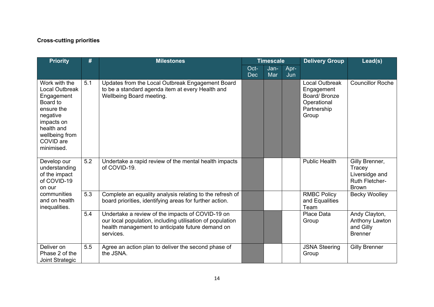## **Cross-cutting priorities**

| <b>Priority</b>                                                                                                                                              | #   | <b>Milestones</b>                                                                                                                                                              |                    | <b>Timescale</b> |             | <b>Delivery Group</b>                                                                      | Lead(s)                                                                             |
|--------------------------------------------------------------------------------------------------------------------------------------------------------------|-----|--------------------------------------------------------------------------------------------------------------------------------------------------------------------------------|--------------------|------------------|-------------|--------------------------------------------------------------------------------------------|-------------------------------------------------------------------------------------|
|                                                                                                                                                              |     |                                                                                                                                                                                | Oct-<br><b>Dec</b> | Jan-<br>Mar      | Apr-<br>Jun |                                                                                            |                                                                                     |
| Work with the<br>Local Outbreak<br>Engagement<br>Board to<br>ensure the<br>negative<br>impacts on<br>health and<br>wellbeing from<br>COVID are<br>minimised. | 5.1 | Updates from the Local Outbreak Engagement Board<br>to be a standard agenda item at every Health and<br>Wellbeing Board meeting.                                               |                    |                  |             | <b>Local Outbreak</b><br>Engagement<br>Board/Bronze<br>Operational<br>Partnership<br>Group | <b>Councillor Roche</b>                                                             |
| Develop our<br>understanding<br>of the impact<br>of COVID-19<br>on our                                                                                       | 5.2 | Undertake a rapid review of the mental health impacts<br>of COVID-19.                                                                                                          |                    |                  |             | <b>Public Health</b>                                                                       | Gilly Brenner,<br>Tracey<br>Liversidge and<br><b>Ruth Fletcher-</b><br><b>Brown</b> |
| communities<br>and on health<br>inequalities.                                                                                                                | 5.3 | Complete an equality analysis relating to the refresh of<br>board priorities, identifying areas for further action.                                                            |                    |                  |             | <b>RMBC Policy</b><br>and Equalities<br>Team                                               | <b>Becky Woolley</b>                                                                |
|                                                                                                                                                              | 5.4 | Undertake a review of the impacts of COVID-19 on<br>our local population, including utilisation of population<br>health management to anticipate future demand on<br>services. |                    |                  |             | Place Data<br>Group                                                                        | Andy Clayton,<br>Anthony Lawton<br>and Gilly<br><b>Brenner</b>                      |
| Deliver on<br>Phase 2 of the<br>Joint Strategic                                                                                                              | 5.5 | Agree an action plan to deliver the second phase of<br>the JSNA.                                                                                                               |                    |                  |             | <b>JSNA Steering</b><br>Group                                                              | <b>Gilly Brenner</b>                                                                |